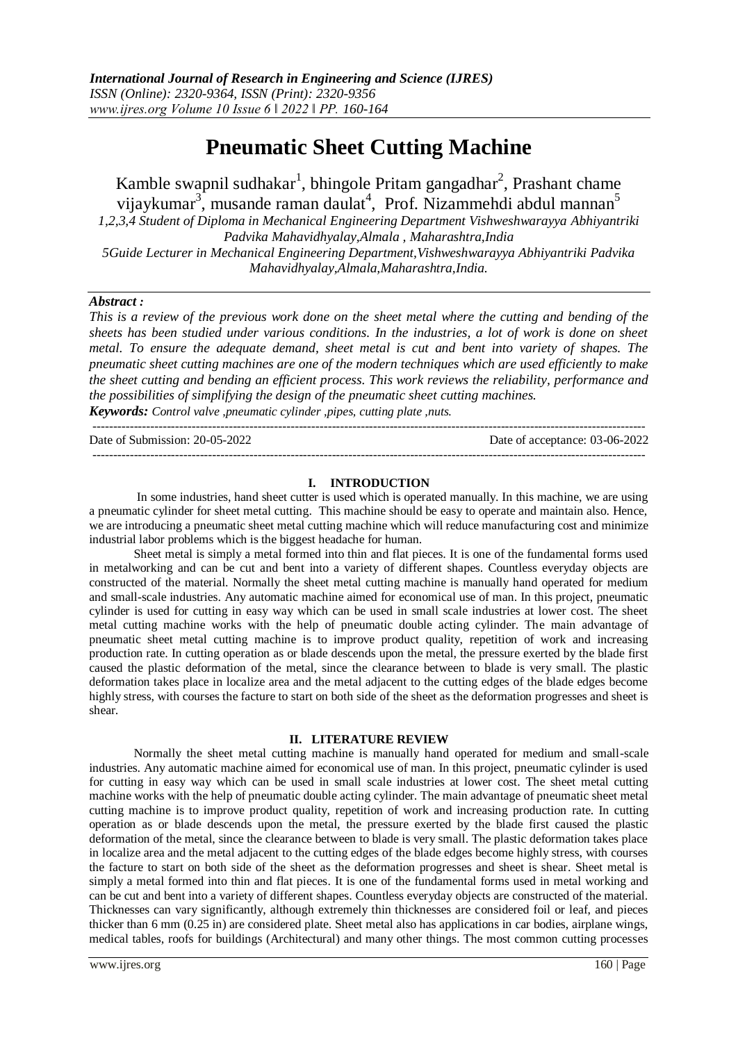# **Pneumatic Sheet Cutting Machine**

Kamble swapnil sudhakar<sup>1</sup>, bhingole Pritam gangadhar<sup>2</sup>, Prashant chame vijaykumar<sup>3</sup>, musande raman daulat<sup>4</sup>, Prof. Nizammehdi abdul mannan<sup>5</sup> *1,2,3,4 Student of Diploma in Mechanical Engineering Department Vishweshwarayya Abhiyantriki Padvika Mahavidhyalay,Almala , Maharashtra,India 5Guide Lecturer in Mechanical Engineering Department,Vishweshwarayya Abhiyantriki Padvika Mahavidhyalay,Almala,Maharashtra,India.*

## *Abstract :*

*This is a review of the previous work done on the sheet metal where the cutting and bending of the sheets has been studied under various conditions. In the industries, a lot of work is done on sheet metal. To ensure the adequate demand, sheet metal is cut and bent into variety of shapes. The pneumatic sheet cutting machines are one of the modern techniques which are used efficiently to make the sheet cutting and bending an efficient process. This work reviews the reliability, performance and the possibilities of simplifying the design of the pneumatic sheet cutting machines. Keywords: Control valve ,pneumatic cylinder ,pipes, cutting plate ,nuts.*

-------------------------------------------------------------------------------------------------------------------------------------- Date of Submission: 20-05-2022 Date of acceptance: 03-06-2022 --------------------------------------------------------------------------------------------------------------------------------------

## **I. INTRODUCTION**

In some industries, hand sheet cutter is used which is operated manually. In this machine, we are using a pneumatic cylinder for sheet metal cutting. This machine should be easy to operate and maintain also. Hence, we are introducing a pneumatic sheet metal cutting machine which will reduce manufacturing cost and minimize industrial labor problems which is the biggest headache for human.

Sheet metal is simply a metal formed into thin and flat pieces. It is one of the fundamental forms used in metalworking and can be cut and bent into a variety of different shapes. Countless everyday objects are constructed of the material. Normally the sheet metal cutting machine is manually hand operated for medium and small-scale industries. Any automatic machine aimed for economical use of man. In this project, pneumatic cylinder is used for cutting in easy way which can be used in small scale industries at lower cost. The sheet metal cutting machine works with the help of pneumatic double acting cylinder. The main advantage of pneumatic sheet metal cutting machine is to improve product quality, repetition of work and increasing production rate. In cutting operation as or blade descends upon the metal, the pressure exerted by the blade first caused the plastic deformation of the metal, since the clearance between to blade is very small. The plastic deformation takes place in localize area and the metal adjacent to the cutting edges of the blade edges become highly stress, with courses the facture to start on both side of the sheet as the deformation progresses and sheet is shear.

## **II. LITERATURE REVIEW**

Normally the sheet metal cutting machine is manually hand operated for medium and small-scale industries. Any automatic machine aimed for economical use of man. In this project, pneumatic cylinder is used for cutting in easy way which can be used in small scale industries at lower cost. The sheet metal cutting machine works with the help of pneumatic double acting cylinder. The main advantage of pneumatic sheet metal cutting machine is to improve product quality, repetition of work and increasing production rate. In cutting operation as or blade descends upon the metal, the pressure exerted by the blade first caused the plastic deformation of the metal, since the clearance between to blade is very small. The plastic deformation takes place in localize area and the metal adjacent to the cutting edges of the blade edges become highly stress, with courses the facture to start on both side of the sheet as the deformation progresses and sheet is shear. Sheet metal is simply a metal formed into thin and flat pieces. It is one of the fundamental forms used in metal working and can be cut and bent into a variety of different shapes. Countless everyday objects are constructed of the material. Thicknesses can vary significantly, although extremely thin thicknesses are considered foil or leaf, and pieces thicker than 6 mm (0.25 in) are considered plate. Sheet metal also has applications in car bodies, airplane wings, medical tables, roofs for buildings (Architectural) and many other things. The most common cutting processes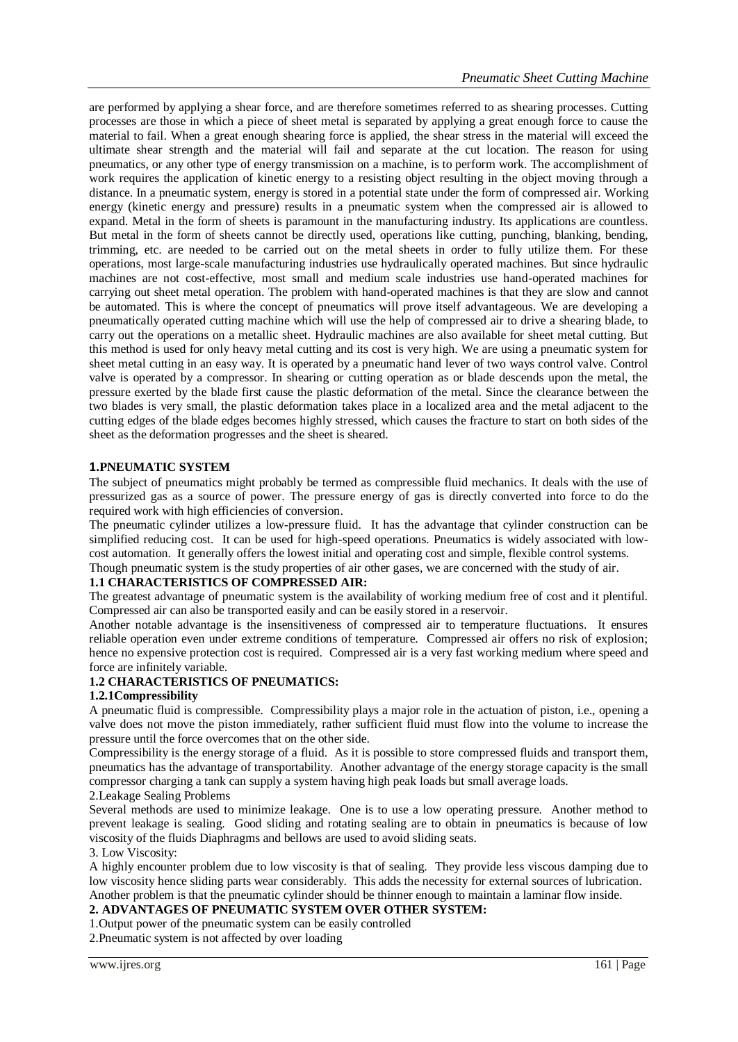are performed by applying a shear force, and are therefore sometimes referred to as shearing processes. Cutting processes are those in which a piece of sheet metal is separated by applying a great enough force to cause the material to fail. When a great enough shearing force is applied, the shear stress in the material will exceed the ultimate shear strength and the material will fail and separate at the cut location. The reason for using pneumatics, or any other type of energy transmission on a machine, is to perform work. The accomplishment of work requires the application of kinetic energy to a resisting object resulting in the object moving through a distance. In a pneumatic system, energy is stored in a potential state under the form of compressed air. Working energy (kinetic energy and pressure) results in a pneumatic system when the compressed air is allowed to expand. Metal in the form of sheets is paramount in the manufacturing industry. Its applications are countless. But metal in the form of sheets cannot be directly used, operations like cutting, punching, blanking, bending, trimming, etc. are needed to be carried out on the metal sheets in order to fully utilize them. For these operations, most large-scale manufacturing industries use hydraulically operated machines. But since hydraulic machines are not cost-effective, most small and medium scale industries use hand-operated machines for carrying out sheet metal operation. The problem with hand-operated machines is that they are slow and cannot be automated. This is where the concept of pneumatics will prove itself advantageous. We are developing a pneumatically operated cutting machine which will use the help of compressed air to drive a shearing blade, to carry out the operations on a metallic sheet. Hydraulic machines are also available for sheet metal cutting. But this method is used for only heavy metal cutting and its cost is very high. We are using a pneumatic system for sheet metal cutting in an easy way. It is operated by a pneumatic hand lever of two ways control valve. Control valve is operated by a compressor. In shearing or cutting operation as or blade descends upon the metal, the pressure exerted by the blade first cause the plastic deformation of the metal. Since the clearance between the two blades is very small, the plastic deformation takes place in a localized area and the metal adjacent to the cutting edges of the blade edges becomes highly stressed, which causes the fracture to start on both sides of the sheet as the deformation progresses and the sheet is sheared.

## **1.PNEUMATIC SYSTEM**

The subject of pneumatics might probably be termed as compressible fluid mechanics. It deals with the use of pressurized gas as a source of power. The pressure energy of gas is directly converted into force to do the required work with high efficiencies of conversion.

The pneumatic cylinder utilizes a low-pressure fluid. It has the advantage that cylinder construction can be simplified reducing cost. It can be used for high-speed operations. Pneumatics is widely associated with lowcost automation. It generally offers the lowest initial and operating cost and simple, flexible control systems. Though pneumatic system is the study properties of air other gases, we are concerned with the study of air.

## **1.1 CHARACTERISTICS OF COMPRESSED AIR:**

The greatest advantage of pneumatic system is the availability of working medium free of cost and it plentiful. Compressed air can also be transported easily and can be easily stored in a reservoir.

Another notable advantage is the insensitiveness of compressed air to temperature fluctuations. It ensures reliable operation even under extreme conditions of temperature. Compressed air offers no risk of explosion; hence no expensive protection cost is required. Compressed air is a very fast working medium where speed and force are infinitely variable.

## **1.2 CHARACTERISTICS OF PNEUMATICS:**

## **1.2.1Compressibility**

A pneumatic fluid is compressible. Compressibility plays a major role in the actuation of piston, i.e., opening a valve does not move the piston immediately, rather sufficient fluid must flow into the volume to increase the pressure until the force overcomes that on the other side.

Compressibility is the energy storage of a fluid. As it is possible to store compressed fluids and transport them, pneumatics has the advantage of transportability. Another advantage of the energy storage capacity is the small compressor charging a tank can supply a system having high peak loads but small average loads.

## 2.Leakage Sealing Problems

Several methods are used to minimize leakage. One is to use a low operating pressure. Another method to prevent leakage is sealing. Good sliding and rotating sealing are to obtain in pneumatics is because of low viscosity of the fluids Diaphragms and bellows are used to avoid sliding seats.

## 3. Low Viscosity:

A highly encounter problem due to low viscosity is that of sealing. They provide less viscous damping due to low viscosity hence sliding parts wear considerably. This adds the necessity for external sources of lubrication. Another problem is that the pneumatic cylinder should be thinner enough to maintain a laminar flow inside.

## **2. ADVANTAGES OF PNEUMATIC SYSTEM OVER OTHER SYSTEM:**

## 1.Output power of the pneumatic system can be easily controlled

2.Pneumatic system is not affected by over loading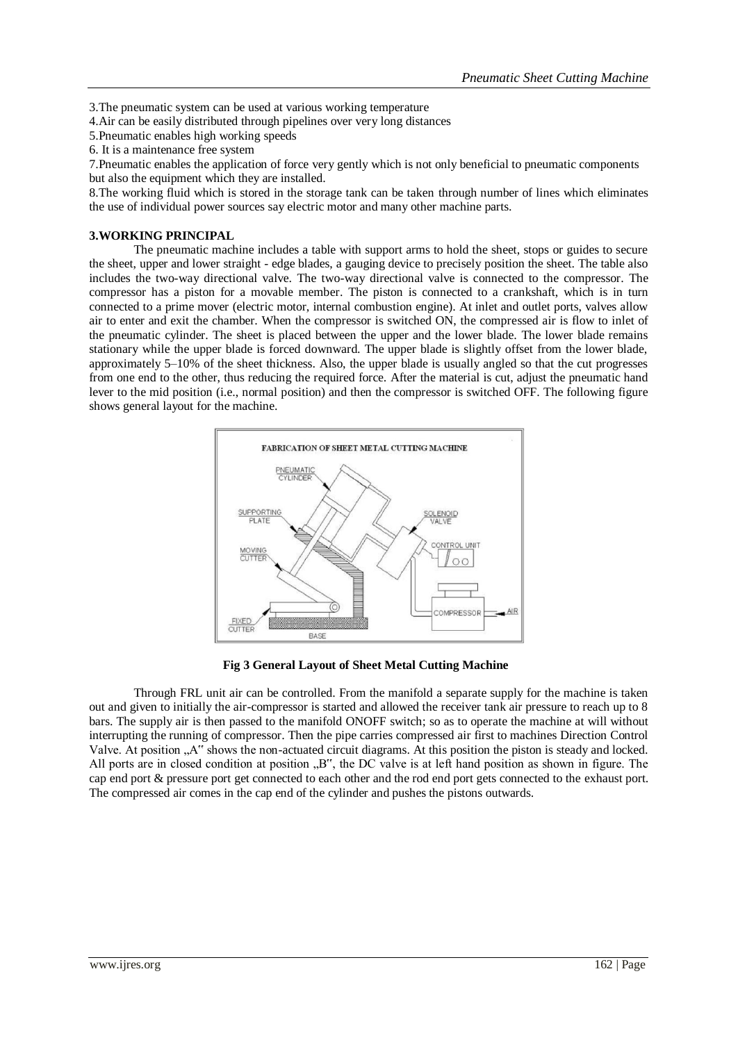3.The pneumatic system can be used at various working temperature

4.Air can be easily distributed through pipelines over very long distances

5.Pneumatic enables high working speeds

6. It is a maintenance free system

7.Pneumatic enables the application of force very gently which is not only beneficial to pneumatic components but also the equipment which they are installed.

8.The working fluid which is stored in the storage tank can be taken through number of lines which eliminates the use of individual power sources say electric motor and many other machine parts.

## **3.WORKING PRINCIPAL**

The pneumatic machine includes a table with support arms to hold the sheet, stops or guides to secure the sheet, upper and lower straight - edge blades, a gauging device to precisely position the sheet. The table also includes the two-way directional valve. The two-way directional valve is connected to the compressor. The compressor has a piston for a movable member. The piston is connected to a crankshaft, which is in turn connected to a prime mover (electric motor, internal combustion engine). At inlet and outlet ports, valves allow air to enter and exit the chamber. When the compressor is switched ON, the compressed air is flow to inlet of the pneumatic cylinder. The sheet is placed between the upper and the lower blade. The lower blade remains stationary while the upper blade is forced downward. The upper blade is slightly offset from the lower blade, approximately 5–10% of the sheet thickness. Also, the upper blade is usually angled so that the cut progresses from one end to the other, thus reducing the required force. After the material is cut, adjust the pneumatic hand lever to the mid position (i.e., normal position) and then the compressor is switched OFF. The following figure shows general layout for the machine.



**Fig 3 General Layout of Sheet Metal Cutting Machine** 

Through FRL unit air can be controlled. From the manifold a separate supply for the machine is taken out and given to initially the air-compressor is started and allowed the receiver tank air pressure to reach up to 8 bars. The supply air is then passed to the manifold ONOFF switch; so as to operate the machine at will without interrupting the running of compressor. Then the pipe carries compressed air first to machines Direction Control Valve. At position "A" shows the non-actuated circuit diagrams. At this position the piston is steady and locked. All ports are in closed condition at position "B", the DC valve is at left hand position as shown in figure. The cap end port & pressure port get connected to each other and the rod end port gets connected to the exhaust port. The compressed air comes in the cap end of the cylinder and pushes the pistons outwards.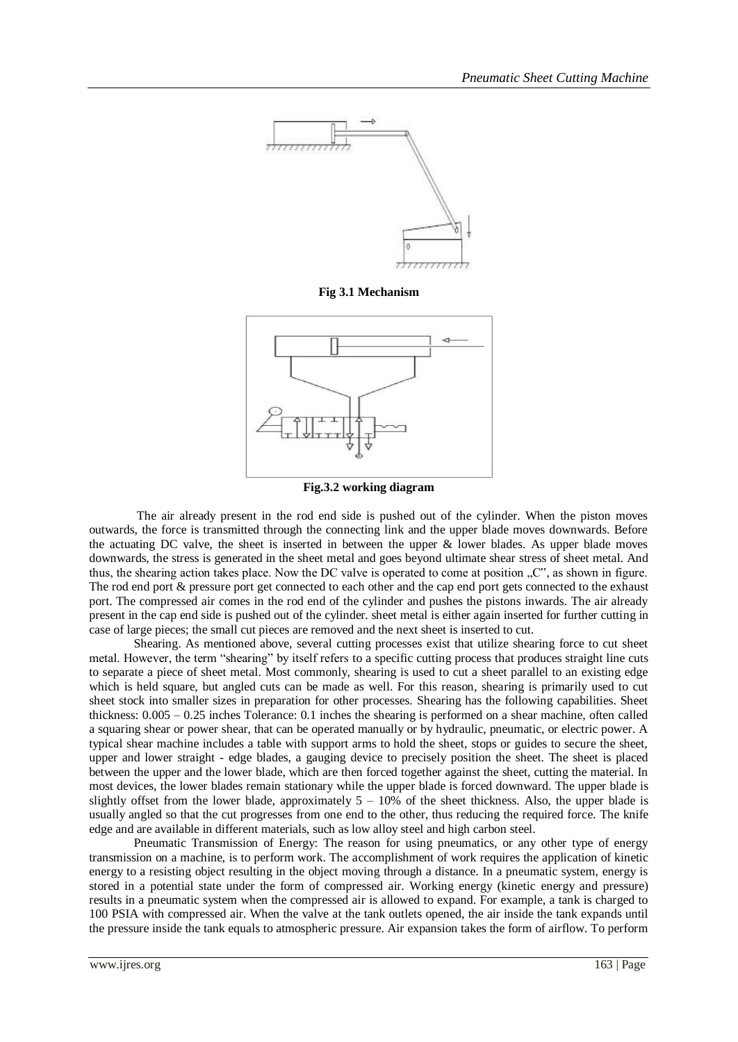

**Fig 3.1 Mechanism**



**Fig.3.2 working diagram**

The air already present in the rod end side is pushed out of the cylinder. When the piston moves outwards, the force is transmitted through the connecting link and the upper blade moves downwards. Before the actuating DC valve, the sheet is inserted in between the upper  $\&$  lower blades. As upper blade moves downwards, the stress is generated in the sheet metal and goes beyond ultimate shear stress of sheet metal. And thus, the shearing action takes place. Now the DC valve is operated to come at position "C", as shown in figure. The rod end port & pressure port get connected to each other and the cap end port gets connected to the exhaust port. The compressed air comes in the rod end of the cylinder and pushes the pistons inwards. The air already present in the cap end side is pushed out of the cylinder. sheet metal is either again inserted for further cutting in case of large pieces; the small cut pieces are removed and the next sheet is inserted to cut.

Shearing. As mentioned above, several cutting processes exist that utilize shearing force to cut sheet metal. However, the term "shearing" by itself refers to a specific cutting process that produces straight line cuts to separate a piece of sheet metal. Most commonly, shearing is used to cut a sheet parallel to an existing edge which is held square, but angled cuts can be made as well. For this reason, shearing is primarily used to cut sheet stock into smaller sizes in preparation for other processes. Shearing has the following capabilities. Sheet thickness: 0.005 – 0.25 inches Tolerance: 0.1 inches the shearing is performed on a shear machine, often called a squaring shear or power shear, that can be operated manually or by hydraulic, pneumatic, or electric power. A typical shear machine includes a table with support arms to hold the sheet, stops or guides to secure the sheet, upper and lower straight - edge blades, a gauging device to precisely position the sheet. The sheet is placed between the upper and the lower blade, which are then forced together against the sheet, cutting the material. In most devices, the lower blades remain stationary while the upper blade is forced downward. The upper blade is slightly offset from the lower blade, approximately 5 – 10% of the sheet thickness. Also, the upper blade is usually angled so that the cut progresses from one end to the other, thus reducing the required force. The knife edge and are available in different materials, such as low alloy steel and high carbon steel.

Pneumatic Transmission of Energy: The reason for using pneumatics, or any other type of energy transmission on a machine, is to perform work. The accomplishment of work requires the application of kinetic energy to a resisting object resulting in the object moving through a distance. In a pneumatic system, energy is stored in a potential state under the form of compressed air. Working energy (kinetic energy and pressure) results in a pneumatic system when the compressed air is allowed to expand. For example, a tank is charged to 100 PSIA with compressed air. When the valve at the tank outlets opened, the air inside the tank expands until the pressure inside the tank equals to atmospheric pressure. Air expansion takes the form of airflow. To perform